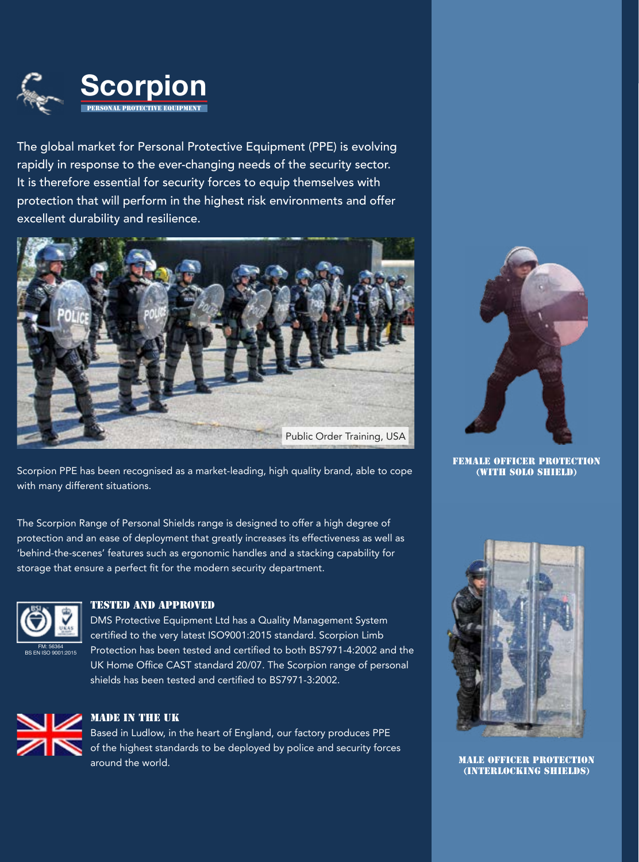

The global market for Personal Protective Equipment (PPE) is evolving rapidly in response to the ever-changing needs of the security sector. It is therefore essential for security forces to equip themselves with protection that will perform in the highest risk environments and offer excellent durability and resilience.





FEMALE OFFICER PROTECTION (with SOLO SHIELD)

Scorpion PPE has been recognised as a market-leading, high quality brand, able to cope with many different situations.

The Scorpion Range of Personal Shields range is designed to offer a high degree of protection and an ease of deployment that greatly increases its effectiveness as well as 'behind-the-scenes' features such as ergonomic handles and a stacking capability for storage that ensure a perfect fit for the modern security department.



### TESTED AND APPROVED

DMS Protective Equipment Ltd has a Quality Management System certified to the very latest ISO9001:2015 standard. Scorpion Limb Protection has been tested and certified to both BS7971-4:2002 and the UK Home Office CAST standard 20/07. The Scorpion range of personal shields has been tested and certified to BS7971-3:2002.



### MADE IN THE UK

Based in Ludlow, in the heart of England, our factory produces PPE of the highest standards to be deployed by police and security forces around the world.



MALE OFFICER PROTECTION (INTERLOCKING SHIELDS)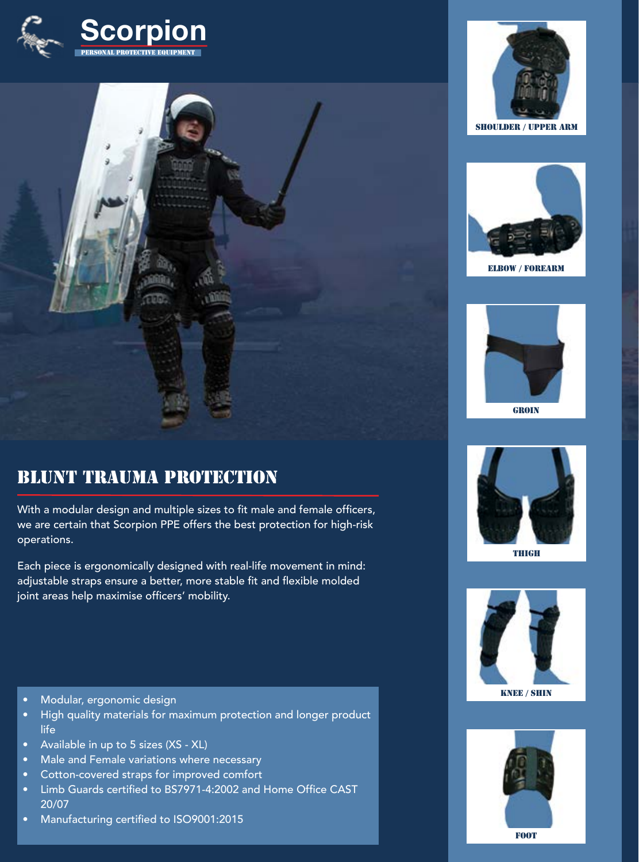



# BLUNT TRAUMA PROTECTION

With a modular design and multiple sizes to fit male and female officers, we are certain that Scorpion PPE offers the best protection for high-risk operations.

Each piece is ergonomically designed with real-life movement in mind: adjustable straps ensure a better, more stable fit and flexible molded joint areas help maximise officers' mobility.

- Modular, ergonomic design
- High quality materials for maximum protection and longer product life
- Available in up to 5 sizes (XS XL)
- Male and Female variations where necessary
- Cotton-covered straps for improved comfort
- Limb Guards certified to BS7971-4:2002 and Home Office CAST 20/07
- Manufacturing certified to ISO9001:2015





ELBOW / FOREARM



**GROIN** 



THIGH





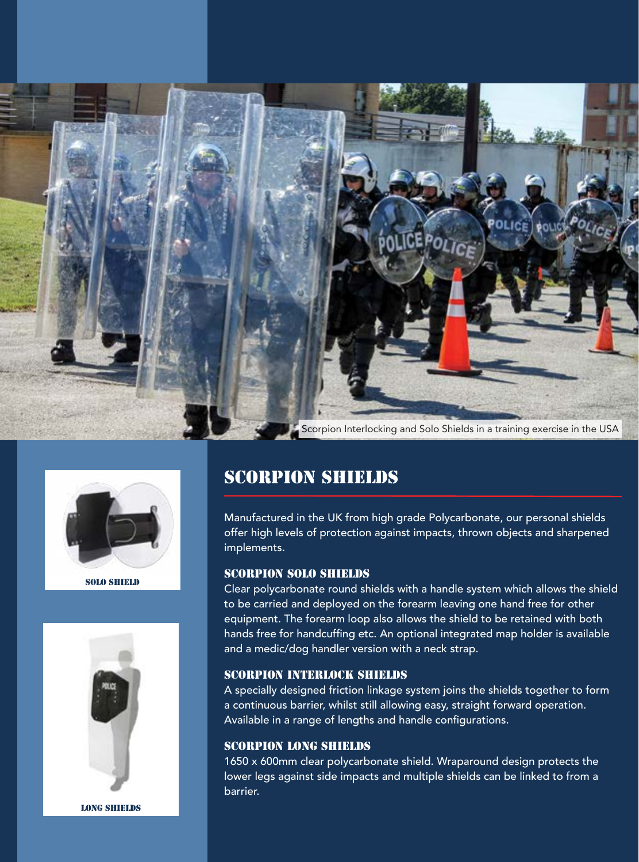



SOLO SHIELD



LONG SHIELDS

# SCORPION SHIELDS

Manufactured in the UK from high grade Polycarbonate, our personal shields offer high levels of protection against impacts, thrown objects and sharpened implements.

#### SCORPION SOLO SHIELDS

Clear polycarbonate round shields with a handle system which allows the shield to be carried and deployed on the forearm leaving one hand free for other equipment. The forearm loop also allows the shield to be retained with both hands free for handcuffing etc. An optional integrated map holder is available and a medic/dog handler version with a neck strap.

#### SCORPION INTERLOCK SHIELDS

A specially designed friction linkage system joins the shields together to form a continuous barrier, whilst still allowing easy, straight forward operation. Available in a range of lengths and handle configurations.

#### SCORPION LONG SHIELDS

1650 x 600mm clear polycarbonate shield. Wraparound design protects the lower legs against side impacts and multiple shields can be linked to from a barrier.